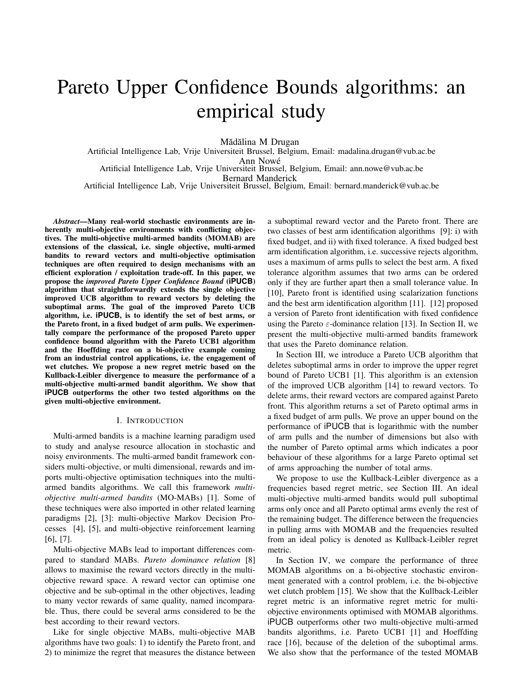# Pareto Upper Confidence Bounds algorithms: an empirical study

Mădălina M Drugan

Artificial Intelligence Lab, Vrije Universiteit Brussel, Belgium, Email: madalina.drugan@vub.ac.be Ann Nowé Artificial Intelligence Lab, Vrije Universiteit Brussel, Belgium, Email: ann.nowe@vub.ac.be Bernard Manderick Artificial Intelligence Lab, Vrije Universiteit Brussel, Belgium, Email: bernard.manderick@vub.ac.be

*Abstract*—Many real-world stochastic environments are inherently multi-objective environments with conflicting objectives. The multi-objective multi-armed bandits (MOMAB) are extensions of the classical, i.e. single objective, multi-armed bandits to reward vectors and multi-objective optimisation techniques are often required to design mechanisms with an efficient exploration / exploitation trade-off. In this paper, we propose the *improved Pareto Upper Confidence Bound* (**iPUCB**) algorithm that straightforwardly extends the single objective improved UCB algorithm to reward vectors by deleting the suboptimal arms. The goal of the improved Pareto UCB algorithm, i.e. **iPUCB**, is to identify the set of best arms, or the Pareto front, in a fixed budget of arm pulls. We experimentally compare the performance of the proposed Pareto upper confidence bound algorithm with the Pareto UCB1 algorithm and the Hoeffding race on a bi-objective example coming from an industrial control applications, i.e. the engagement of wet clutches. We propose a new regret metric based on the Kullback-Leibler divergence to measure the performance of a multi-objective multi-armed bandit algorithm. We show that **iPUCB** outperforms the other two tested algorithms on the given multi-objective environment.

## I. INTRODUCTION

Multi-armed bandits is a machine learning paradigm used to study and analyse resource allocation in stochastic and noisy environments. The multi-armed bandit framework considers multi-objective, or multi dimensional, rewards and imports multi-objective optimisation techniques into the multiarmed bandits algorithms. We call this framework *multiobjective multi-armed bandits* (MO-MABs) [1]. Some of these techniques were also imported in other related learning paradigms [2], [3]: multi-objective Markov Decision Processes [4], [5], and multi-objective reinforcement learning [6], [7].

Multi-objective MABs lead to important differences compared to standard MABs. *Pareto dominance relation* [8] allows to maximise the reward vectors directly in the multiobjective reward space. A reward vector can optimise one objective and be sub-optimal in the other objectives, leading to many vector rewards of same quality, named incomparable. Thus, there could be several arms considered to be the best according to their reward vectors.

Like for single objective MABs, multi-objective MAB algorithms have two goals: 1) to identify the Pareto front, and 2) to minimize the regret that measures the distance between

a suboptimal reward vector and the Pareto front. There are two classes of best arm identification algorithms [9]: i) with fixed budget, and ii) with fixed tolerance. A fixed budged best arm identification algorithm, i.e. successive rejects algorithm, uses a maximum of arms pulls to select the best arm. A fixed tolerance algorithm assumes that two arms can be ordered only if they are further apart then a small tolerance value. In [10], Pareto front is identified using scalarization functions and the best arm identification algorithm [11]. [12] proposed a version of Pareto front identification with fixed confidence using the Pareto  $\varepsilon$ -dominance relation [13]. In Section II, we present the multi-objective multi-armed bandits framework that uses the Pareto dominance relation.

In Section III, we introduce a Pareto UCB algorithm that deletes suboptimal arms in order to improve the upper regret bound of Pareto UCB1 [1]. This algorithm is an extension of the improved UCB algorithm [14] to reward vectors. To delete arms, their reward vectors are compared against Pareto front. This algorithm returns a set of Pareto optimal arms in a fixed budget of arm pulls. We prove an upper bound on the performance of iPUCB that is logarithmic with the number of arm pulls and the number of dimensions but also with the number of Pareto optimal arms which indicates a poor behaviour of these algorithms for a large Pareto optimal set of arms approaching the number of total arms.

We propose to use the Kullback-Leibler divergence as a frequencies based regret metric, see Section III. An ideal multi-objective multi-armed bandits would pull suboptimal arms only once and all Pareto optimal arms evenly the rest of the remaining budget. The difference between the frequencies in pulling arms with MOMAB and the frequencies resulted from an ideal policy is denoted as Kullback-Leibler regret metric.

In Section IV, we compare the performance of three MOMAB algorithms on a bi-objective stochastic environment generated with a control problem, i.e. the bi-objective wet clutch problem [15]. We show that the Kullback-Leibler regret metric is an informative regret metric for multiobjective environments optimised with MOMAB algorithms. iPUCB outperforms other two multi-objective multi-armed bandits algorithms, i.e. Pareto UCB1 [1] and Hoeffding race [16], because of the deletion of the suboptimal arms. We also show that the performance of the tested MOMAB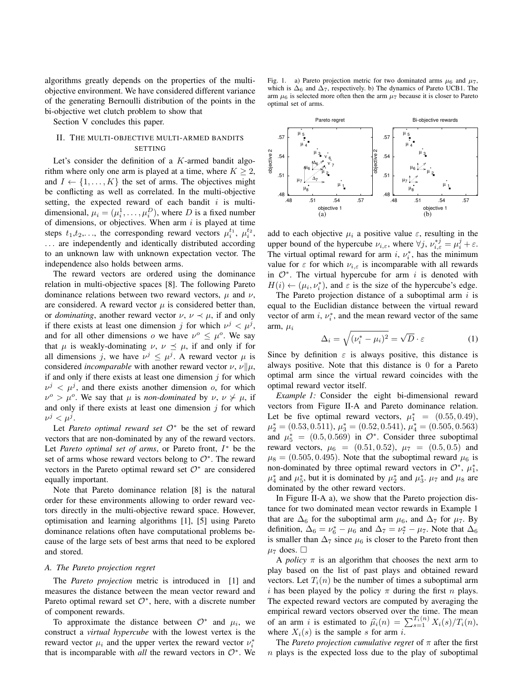algorithms greatly depends on the properties of the multiobjective environment. We have considered different variance of the generating Bernoulli distribution of the points in the bi-objective wet clutch problem to show that

Section V concludes this paper.

## II. THE MULTI-OBJECTIVE MULTI-ARMED BANDITS **SETTING**

Let's consider the definition of a K-armed bandit algorithm where only one arm is played at a time, where  $K \geq 2$ , and  $I \leftarrow \{1, \ldots, K\}$  the set of arms. The objectives might be conflicting as well as correlated. In the multi-objective setting, the expected reward of each bandit  $i$  is multidimensional,  $\mu_i = (\mu_i^1, \dots, \mu_i^D)$ , where D is a fixed number of dimensions, or objectives. When arm  $i$  is played at time steps  $t_1, t_2, \ldots$ , the corresponding reward vectors  $\mu_i^{t_1}, \mu_i^{t_2}$ , ... are independently and identically distributed according to an unknown law with unknown expectation vector. The independence also holds between arms.

The reward vectors are ordered using the dominance relation in multi-objective spaces [8]. The following Pareto dominance relations between two reward vectors,  $\mu$  and  $\nu$ , are considered. A reward vector  $\mu$  is considered better than, or *dominating*, another reward vector  $\nu$ ,  $\nu \prec \mu$ , if and only if there exists at least one dimension j for which  $\nu^{j} < \mu^{j}$ , and for all other dimensions o we have  $\nu^{\circ} \leq \mu^{\circ}$ . We say that  $\mu$  is weakly-dominating  $\nu, \nu \preceq \mu$ , if and only if for all dimensions j, we have  $\nu^j \leq \mu^j$ . A reward vector  $\mu$  is considered *incomparable* with another reward vector  $\nu$ ,  $\nu \parallel \mu$ , if and only if there exists at least one dimension  $j$  for which  $\nu^{j} < \mu^{j}$ , and there exists another dimension o, for which  $\nu^{\circ} > \mu^{\circ}$ . We say that  $\mu$  is *non-dominated* by  $\nu, \nu \nsucceq \mu$ , if and only if there exists at least one dimension  $j$  for which  $\nu^j < \mu^j$ .

Let *Pareto optimal reward set* O<sup>∗</sup> be the set of reward vectors that are non-dominated by any of the reward vectors. Let *Pareto optimal set of arms*, or Pareto front,  $I^*$  be the set of arms whose reward vectors belong to  $\mathcal{O}^*$ . The reward vectors in the Pareto optimal reward set  $\mathcal{O}^*$  are considered equally important.

Note that Pareto dominance relation [8] is the natural order for these environments allowing to order reward vectors directly in the multi-objective reward space. However, optimisation and learning algorithms [1], [5] using Pareto dominance relations often have computational problems because of the large sets of best arms that need to be explored and stored.

## *A. The Pareto projection regret*

The *Pareto projection* metric is introduced in [1] and measures the distance between the mean vector reward and Pareto optimal reward set  $\mathcal{O}^*$ , here, with a discrete number of component rewards.

To approximate the distance between  $\mathcal{O}^*$  and  $\mu_i$ , we construct a *virtual hypercube* with the lowest vertex is the reward vector  $\mu_i$  and the upper vertex the reward vector  $\nu_i^*$ that is incomparable with *all* the reward vectors in  $O^*$ . We

Fig. 1. a) Pareto projection metric for two dominated arms  $\mu_6$  and  $\mu_7$ , which is  $\Delta_6$  and  $\Delta_7$ , respectively. b) The dynamics of Pareto UCB1. The arm  $\mu_6$  is selected more often then the arm  $\mu_7$  because it is closer to Pareto optimal set of arms.



add to each objective  $\mu_i$  a positive value  $\varepsilon$ , resulting in the upper bound of the hypercube  $\nu_{i,\varepsilon}$ , where  $\forall j$ ,  $\nu_{i,\varepsilon}^{*j} = \mu_i^j + \varepsilon$ . The virtual optimal reward for arm i,  $\nu_i^*$ , has the minimum value for  $\varepsilon$  for which  $\nu_{i,\varepsilon}$  is incomparable with all rewards in  $\mathcal{O}^*$ . The virtual hypercube for arm i is denoted with  $H(i) \leftarrow (\mu_i, \nu_i^*)$ , and  $\varepsilon$  is the size of the hypercube's edge.

The Pareto projection distance of a suboptimal arm  $i$  is equal to the Euclidian distance between the virtual reward vector of arm  $i, v_i^*$ , and the mean reward vector of the same arm,  $\mu_i$ 

$$
\Delta_i = \sqrt{(\nu_i^* - \mu_i)^2} = \sqrt{D} \cdot \varepsilon \tag{1}
$$

Since by definition  $\varepsilon$  is always positive, this distance is always positive. Note that this distance is 0 for a Pareto optimal arm since the virtual reward coincides with the optimal reward vector itself.

*Example 1:* Consider the eight bi-dimensional reward vectors from Figure II-A and Pareto dominance relation. Let be five optimal reward vectors,  $\mu_1^* = (0.55, 0.49)$ ,  $\mu_2^* = (0.53, 0.511), \mu_3^* = (0.52, 0.541), \mu_4^* = (0.505, 0.563)$ and  $\mu_5^* = (0.5, 0.569)$  in  $\mathcal{O}^*$ . Consider three suboptimal reward vectors,  $\mu_6 = (0.51, 0.52), \mu_7 = (0.5, 0.5)$  and  $\mu_8 = (0.505, 0.495)$ . Note that the suboptimal reward  $\mu_6$  is non-dominated by three optimal reward vectors in  $\mathcal{O}^*, \mu_1^*$ ,  $\mu_4^*$  and  $\mu_5^*$ , but it is dominated by  $\mu_2^*$  and  $\mu_3^*$ .  $\mu_7$  and  $\mu_8$  are dominated by the other reward vectors.

In Figure II-A a), we show that the Pareto projection distance for two dominated mean vector rewards in Example 1 that are  $\Delta_6$  for the suboptimal arm  $\mu_6$ , and  $\Delta_7$  for  $\mu_7$ . By definition,  $\Delta_6 = \nu_6^* - \mu_6$  and  $\Delta_7 = \nu_7^* - \mu_7$ . Note that  $\Delta_6$ is smaller than  $\Delta_7$  since  $\mu_6$  is closer to the Pareto front then  $\mu_7$  does.  $\Box$ 

A *policy*  $\pi$  is an algorithm that chooses the next arm to play based on the list of past plays and obtained reward vectors. Let  $T_i(n)$  be the number of times a suboptimal arm i has been played by the policy  $\pi$  during the first n plays. The expected reward vectors are computed by averaging the empirical reward vectors observed over the time. The mean of an arm i is estimated to  $\hat{\mu}_i(n) = \sum_{s=1}^{T_i(n)} X_i(s)/T_i(n)$ , where  $X_i(s)$  is the sample s for arm i.

The *Pareto projection cumulative regret* of  $\pi$  after the first  $n$  plays is the expected loss due to the play of suboptimal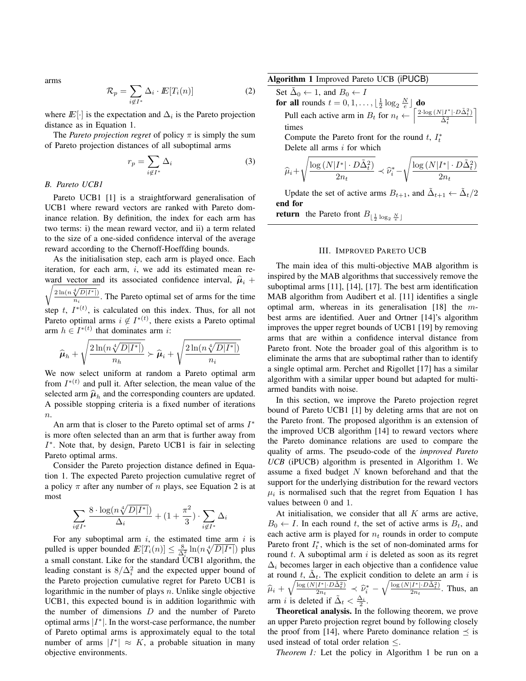arms

$$
\mathcal{R}_p = \sum_{i \notin I^*} \Delta_i \cdot E[T_i(n)] \tag{2}
$$

where  $E[\cdot]$  is the expectation and  $\Delta_i$  is the Pareto projection distance as in Equation 1.

The *Pareto projection regret* of policy  $\pi$  is simply the sum of Pareto projection distances of all suboptimal arms

$$
r_p = \sum_{i \notin I^*} \Delta_i \tag{3}
$$

## *B. Pareto UCB1*

Pareto UCB1 [1] is a straightforward generalisation of UCB1 where reward vectors are ranked with Pareto dominance relation. By definition, the index for each arm has two terms: i) the mean reward vector, and ii) a term related to the size of a one-sided confidence interval of the average reward according to the Chernoff-Hoeffding bounds.

As the initialisation step, each arm is played once. Each iteration, for each arm, i, we add its estimated mean reward vector and its associated confidence interval,  $\hat{\mu}_i$  +  $\sqrt{2 \ln(n \sqrt[4]{D|I^*|})}$  $\frac{\sqrt{D|I||I||}}{n_i}$ . The Pareto optimal set of arms for the time step t,  $I^{*(t)}$ , is calculated on this index. Thus, for all not Pareto optimal arms  $i \notin I^{*(t)}$ , there exists a Pareto optimal arm  $h \in I^{*(t)}$  that dominates arm *i*:

$$
\widehat{\boldsymbol{\mu}}_h + \sqrt{\frac{2\ln(n\sqrt[4]{D|I^*|})}{n_h}} > \widehat{\boldsymbol{\mu}}_i + \sqrt{\frac{2\ln(n\sqrt[4]{D|I^*|})}{n_i}}
$$

We now select uniform at random a Pareto optimal arm from  $I^{*(t)}$  and pull it. After selection, the mean value of the selected arm  $\hat{\mu}_h$  and the corresponding counters are updated. A possible stopping criteria is a fixed number of iterations  $\overline{n}$ .

An arm that is closer to the Pareto optimal set of arms  $I^*$ is more often selected than an arm that is further away from I ∗ . Note that, by design, Pareto UCB1 is fair in selecting Pareto optimal arms.

Consider the Pareto projection distance defined in Equation 1. The expected Pareto projection cumulative regret of a policy  $\pi$  after any number of n plays, see Equation 2 is at most

$$
\sum_{i \notin I^*} \frac{8 \cdot \log(n \sqrt[4]{D|I^*|})}{\Delta_i} + (1 + \frac{\pi^2}{3}) \cdot \sum_{i \notin I^*} \Delta_i
$$

For any suboptimal arm  $i$ , the estimated time arm  $i$  is pulled is upper bounded  $E[T_i(n)] \leq \frac{8}{\Delta_i^2} \ln(n \sqrt[4]{D|I^*|})$  plus a small constant. Like for the standard  $\overrightarrow{U}CB1$  algorithm, the leading constant is  $8/\Delta_i^2$  and the expected upper bound of the Pareto projection cumulative regret for Pareto UCB1 is logarithmic in the number of plays  $n$ . Unlike single objective UCB1, this expected bound is in addition logarithmic with the number of dimensions  $D$  and the number of Pareto optimal arms  $|I^*|$ . In the worst-case performance, the number of Pareto optimal arms is approximately equal to the total number of arms  $|I^*| \approx K$ , a probable situation in many objective environments.

### Algorithm 1 Improved Pareto UCB (iPUCB)

Set  $\tilde{\Delta}_0 \leftarrow 1$ , and  $B_0 \leftarrow I$ **for all** rounds  $t = 0, 1, \ldots, \lfloor \frac{1}{2} \log_2 \frac{N}{e} \rfloor$  **do** Pull each active arm in  $B_t$  for  $n_t \leftarrow \left[\frac{2 \cdot \log (N|I^*| \cdot D\tilde{\Delta}_t^2)}{\tilde{\Delta}_t^2}\right]$ m times Compute the Pareto front for the round  $t$ ,  $I_t^*$ Delete all arms  $i$  for which  $\widehat{\mu}_i$ +  $\int \log (N|I^*| \cdot D\tilde{\Delta}_t^2)$  $\frac{P_1 \cdot D \Delta_t}{2n_t} \prec \hat{\nu}_i^*$  $\int \log (N|I^*| \cdot D\tilde{\Delta}_t^2)$  $2n_t$ Update the set of active arms  $B_{t+1}$ , and  $\tilde{\Delta}_{t+1} \leftarrow \tilde{\Delta}_t/2$ end for **return** the Pareto front  $B_{\lfloor \frac{1}{2} \log_2 \frac{N}{e} \rfloor}$ 

## III. IMPROVED PARETO UCB

The main idea of this multi-objective MAB algorithm is inspired by the MAB algorithms that successively remove the suboptimal arms [11], [14], [17]. The best arm identification MAB algorithm from Audibert et al. [11] identifies a single optimal arm, whereas in its generalisation  $[18]$  the mbest arms are identified. Auer and Ortner [14]'s algorithm improves the upper regret bounds of UCB1 [19] by removing arms that are within a confidence interval distance from Pareto front. Note the broader goal of this algorithm is to eliminate the arms that are suboptimal rather than to identify a single optimal arm. Perchet and Rigollet [17] has a similar algorithm with a similar upper bound but adapted for multiarmed bandits with noise.

In this section, we improve the Pareto projection regret bound of Pareto UCB1 [1] by deleting arms that are not on the Pareto front. The proposed algorithm is an extension of the improved UCB algorithm [14] to reward vectors where the Pareto dominance relations are used to compare the quality of arms. The pseudo-code of the *improved Pareto UCB* (iPUCB) algorithm is presented in Algorithm 1. We assume a fixed budget  $N$  known beforehand and that the support for the underlying distribution for the reward vectors  $\mu_i$  is normalised such that the regret from Equation 1 has values between 0 and 1.

At initialisation, we consider that all  $K$  arms are active,  $B_0 \leftarrow I$ . In each round t, the set of active arms is  $B_t$ , and each active arm is played for  $n_t$  rounds in order to compute Pareto front  $I_t^*$ , which is the set of non-dominated arms for round  $t$ . A suboptimal arm  $i$  is deleted as soon as its regret  $\Delta_i$  becomes larger in each objective than a confidence value at round t,  $\tilde{\Delta}_t$ . The explicit condition to delete an arm i is  $\widehat{\mu}_i + \sqrt{\frac{\log (N|I^*| \cdot D\tilde{\Delta}_t^2)}{2n_t}}$  $\frac{|I^*| \cdot D\tilde{\Delta}_t^2|}{2n_t} \prec \widehat{\nu}_i^* - \sqrt{\frac{\log (N|I^*| \cdot D\tilde{\Delta}_t^2)}{2n_t}}$  $\frac{(T^+)^T D \Delta_t^2}{2n_t}$ . Thus, an arm *i* is deleted if  $\tilde{\Delta}_t < \frac{\Delta_i}{2}$ .

Theoretical analysis. In the following theorem, we prove an upper Pareto projection regret bound by following closely the proof from [14], where Pareto dominance relation  $\preceq$  is used instead of total order relation  $\leq$ .

*Theorem 1:* Let the policy in Algorithm 1 be run on a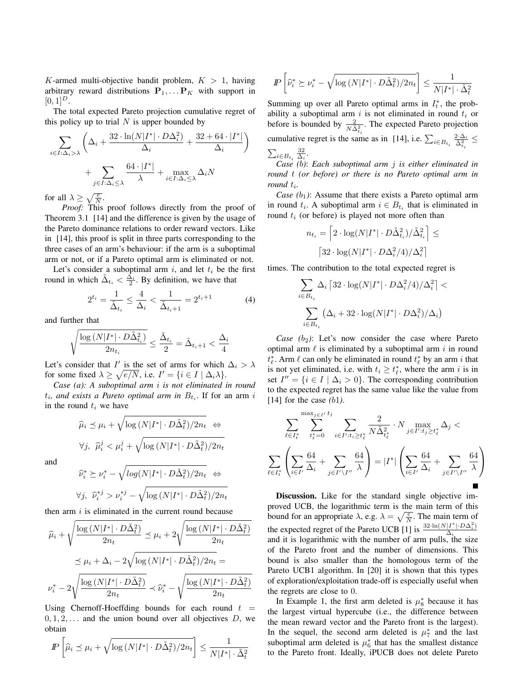K-armed multi-objective bandit problem,  $K > 1$ , having arbitrary reward distributions  $P_1, \ldots, P_K$  with support in  $[0, 1]^{D}$ .

The total expected Pareto projection cumulative regret of this policy up to trial  $N$  is upper bounded by

$$
\sum_{i \in I : \Delta_i > \lambda} \left( \Delta_i + \frac{32 \cdot \ln(N|I^*| \cdot D\Delta_i^2)}{\Delta_i} + \frac{32 + 64 \cdot |I^*|}{\Delta_i} \right) + \sum_{j \in I : \Delta_i \le \lambda} \frac{64 \cdot |I^*|}{\lambda} + \max_{i \in I : \Delta_i \le \lambda} \Delta_i N
$$

for all  $\lambda \geq \sqrt{\frac{e}{N}}$ .

*Proof:* This proof follows directly from the proof of Theorem 3.1 [14] and the difference is given by the usage of the Pareto dominance relations to order reward vectors. Like in [14], this proof is split in three parts corresponding to the three cases of an arm's behaviour: if the arm is a suboptimal arm or not, or if a Pareto optimal arm is eliminated or not.

Let's consider a suboptimal arm  $i$ , and let  $t_i$  be the first round in which  $\tilde{\Delta}_{t_i} < \frac{\tilde{\Delta}_i}{2}$ . By definition, we have that

$$
2^{t_i} = \frac{1}{\tilde{\Delta}_{t_i}} \le \frac{4}{\Delta_i} < \frac{1}{\tilde{\Delta}_{t_i+1}} = 2^{t_i+1} \tag{4}
$$

and further that

$$
\sqrt{\frac{\log\left(N|I^*|\cdot D\tilde{\Delta}_{t_i}^2\right)}{2n_{t_i}}}\leq \frac{\tilde{\Delta}_{t_i}}{2}=\tilde{\Delta}_{t_i+1}<\frac{\Delta_i}{4}
$$

Let's consider that  $I'$  is the set of arms for which  $\Delta_i > \lambda$ for some fixed  $\lambda \ge \sqrt{e/N}$ , i.e.  $I' = \{i \in I \mid \Delta_i \lambda\}.$ 

*Case (a): A suboptimal arm* i *is not eliminated in round*  $t_i$ , and exists a Pareto optimal arm in  $B_{t_i}$ . If for an arm i in the round  $t_i$  we have

$$
\widehat{\mu}_i \preceq \mu_i + \sqrt{\log (N|I^*| \cdot D\tilde{\Delta}_t^2)/2n_t} \ \Leftrightarrow
$$
  

$$
\forall j, \ \widehat{\mu}_i^j < \mu_i^j + \sqrt{\log (N|I^*| \cdot D\tilde{\Delta}_t^2)/2n_t}
$$

and

$$
\widehat{\nu}_i^* \succeq \nu_i^* - \sqrt{\log(N|I^*| \cdot D\tilde{\Delta}_t^2)/2n_t} \iff
$$
  

$$
\forall j, \ \widehat{\nu}_i^{*j} > \nu_i^{*j} - \sqrt{\log(N|I^*| \cdot D\tilde{\Delta}_t^2)/2n_t}
$$

then arm  $i$  is eliminated in the current round because

$$
\widehat{\mu}_{i} + \sqrt{\frac{\log (N|I^*| \cdot D\tilde{\Delta}_{t}^2)}{2n_t}} \leq \mu_{i} + 2\sqrt{\frac{\log (N|I^*| \cdot D\tilde{\Delta}_{t}^2)}{2n_t}}
$$

$$
\leq \mu_{i} + \Delta_{i} - 2\sqrt{\log (N|I^*| \cdot D\tilde{\Delta}_{t}^2)/2n_t} =
$$

$$
\nu_{i}^* - 2\sqrt{\frac{\log (N|I^*| \cdot D\tilde{\Delta}_{t}^2)}{2n_t}} \leq \widehat{\nu}_{i}^* - \sqrt{\frac{\log (N|I^*| \cdot D\tilde{\Delta}_{t}^2)}{2n_t}}
$$

Using Chernoff-Hoeffding bounds for each round  $t =$  $0, 1, 2, \ldots$  and the union bound over all objectives D, we obtain

$$
I\!\!P\left[\widehat{\mu}_i \leq \mu_i + \sqrt{\log (N|I^*| \cdot D\tilde{\Delta}_t^2)/2n_t}\right] \leq \frac{1}{N|I^*| \cdot \tilde{\Delta}_t^2}
$$

$$
I\!\!P\left[\widehat{\nu}_i^* \succeq \nu_i^* - \sqrt{\log (N|I^*| \cdot D\tilde{\Delta}_t^2)/2n_t}\right] \le \frac{1}{N|I^*| \cdot \tilde{\Delta}_t^2}
$$

Summing up over all Pareto optimal arms in  $I_t^*$ , the probability a suboptimal arm  $i$  is not eliminated in round  $t_i$  or before is bounded by  $\frac{2}{N\tilde{\Delta}_{t_i}^2}$ . The expected Pareto projection cumulative regret is the same as in [14], i.e.  $\sum_{i \in B_{t_i}} \frac{2 \cdot \Delta_i}{\tilde{\Delta}_{t_i}^2} \leq$  $\sum_{i\in B_{t_i}} \frac{32}{\Delta_i}.$ 

*Case (*b*)*: *Each suboptimal arm* j *is either eliminated in round* t *(or before) or there is no Pareto optimal arm in round*  $t_i$ .

*Case*  $(b_1)$ : Assume that there exists a Pareto optimal arm in round  $t_i$ . A suboptimal arm  $i \in B_{t_i}$  that is eliminated in round  $t_i$  (or before) is played not more often than

$$
n_{t_i} = \left[2 \cdot \log(N|I^*| \cdot D\tilde{\Delta}_{t_i}^2)/\tilde{\Delta}_{t_i}^2\right] \le
$$

$$
\left[32 \cdot \log(N|I^*| \cdot D\Delta_i^2/4)/\Delta_i^2\right]
$$

times. The contribution to the total expected regret is

$$
\sum_{i \in B_{t_i}} \Delta_i \left[ 32 \cdot \log(N|I^*| \cdot D\Delta_i^2/4) / \Delta_i^2 \right] < \sum_{i \in B_{t_i}} \left( \Delta_i + 32 \cdot \log(N|I^*| \cdot D\Delta_i^2) / \Delta_i \right)
$$

*Case*  $(b_2)$ : Let's now consider the case where Pareto optimal arm  $\ell$  is eliminated by a suboptimal arm i in round  $t_{\ell}^*$ . Arm  $\ell$  can only be eliminated in round  $t_{\ell}^*$  by an arm i that is not yet eliminated, i.e. with  $t_i \geq t_{\ell}^*$ , where the arm i is in set  $I'' = \{i \in I \mid \Delta_i > 0\}$ . The corresponding contribution to the expected regret has the same value like the value from [14] for the case *(*b1*)*.

$$
\sum_{\ell \in I_t^*} \sum_{t_{\ell}^* = 0}^{\max_{j \in I'} t_j} \sum_{i \in I': t_i \ge t_{\ell}^*} \frac{2}{N \tilde{\Delta}_{t_{\ell}^*}^2} \cdot N \max_{j \in I': t_j \ge t_{\ell}^*} \Delta_j < \sum_{\ell \in I_t^*} \left( \sum_{i \in I'} \frac{64}{\Delta_i} + \sum_{j \in I' \setminus I''} \frac{64}{\lambda} \right) = |I^*| \left( \sum_{i \in I'} \frac{64}{\Delta_i} + \sum_{j \in I' \setminus I''} \frac{64}{\lambda} \right)
$$

Discussion. Like for the standard single objective improved UCB, the logarithmic term is the main term of this bound for an appropriate  $\lambda$ , e.g.  $\lambda = \sqrt{\frac{e}{N}}$ . The main term of the expected regret of the Pareto UCB [1] is  $\frac{32 \cdot \ln(N|I^*| \cdot D\Delta_i^2)}{\Delta_i}$  $\Delta_i$ and it is logarithmic with the number of arm pulls, the size of the Pareto front and the number of dimensions. This bound is also smaller than the homologous term of the Pareto UCB1 algorithm. In [20] it is shown that this types of exploration/exploitation trade-off is especially useful when the regrets are close to 0.

In Example 1, the first arm deleted is  $\mu_8^*$  because it has the largest virtual hypercube (i.e., the difference between the mean reward vector and the Pareto front is the largest). In the sequel, the second arm deleted is  $\mu_7^*$  and the last suboptimal arm deleted is  $\mu_6^*$  that has the smallest distance to the Pareto front. Ideally, iPUCB does not delete Pareto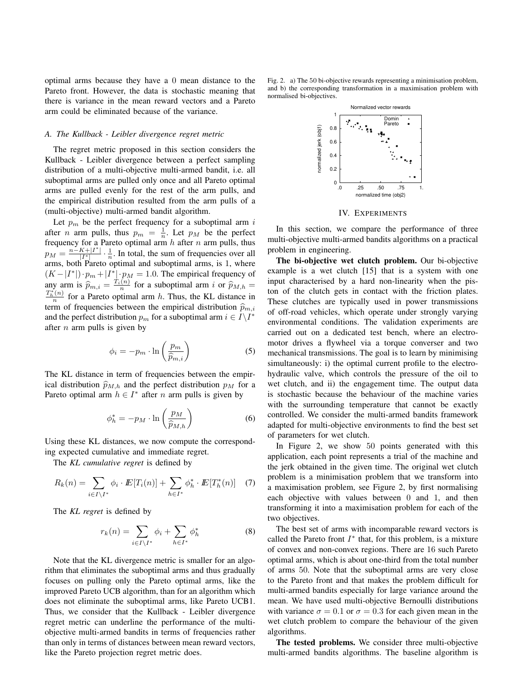optimal arms because they have a 0 mean distance to the Pareto front. However, the data is stochastic meaning that there is variance in the mean reward vectors and a Pareto arm could be eliminated because of the variance.

#### *A. The Kullback - Leibler divergence regret metric*

The regret metric proposed in this section considers the Kullback - Leibler divergence between a perfect sampling distribution of a multi-objective multi-armed bandit, i.e. all suboptimal arms are pulled only once and all Pareto optimal arms are pulled evenly for the rest of the arm pulls, and the empirical distribution resulted from the arm pulls of a (multi-objective) multi-armed bandit algorithm.

Let  $p_m$  be the perfect frequency for a suboptimal arm i after *n* arm pulls, thus  $p_m = \frac{1}{n}$ . Let  $p_M$  be the perfect frequency for a Pareto optimal arm  $h$  after  $n$  arm pulls, thus  $p_M = \frac{n-K+|I^*|}{|I^*|}$  $\frac{K+|I^*|}{|I^*|} \cdot \frac{1}{n}$ . In total, the sum of frequencies over all arms, both Pareto optimal and suboptimal arms, is 1, where  $(K - |I^*|) \cdot p_m + |I^*| \cdot p_M = 1.0$ . The empirical frequency of any arm is  $\hat{p}_{m,i} = \frac{T_i(n)}{n}$  for a suboptimal arm i or  $\hat{p}_{M,h} = T_i^*(n)$  $\frac{T_h^*(n)}{n}$  for a Pareto optimal arm h. Thus, the KL distance in term of frequencies between the empirical distribution  $\widehat{p}_{m,i}$ and the perfect distribution  $p_m$  for a suboptimal arm  $i \in I\backslash I^*$ after  $n$  arm pulls is given by

$$
\phi_i = -p_m \cdot \ln\left(\frac{p_m}{\hat{p}_{m,i}}\right) \tag{5}
$$

The KL distance in term of frequencies between the empirical distribution  $\hat{p}_{M,h}$  and the perfect distribution  $p_M$  for a Pareto optimal arm  $h \in I^*$  after n arm pulls is given by

$$
\phi_h^* = -p_M \cdot \ln\left(\frac{p_M}{\hat{p}_{M,h}}\right) \tag{6}
$$

Using these KL distances, we now compute the corresponding expected cumulative and immediate regret.

The *KL cumulative regret* is defined by

$$
R_k(n) = \sum_{i \in I \setminus I^*} \phi_i \cdot E[T_i(n)] + \sum_{h \in I^*} \phi_h^* \cdot E[T_h^*(n)] \quad (7)
$$

The *KL regret* is defined by

$$
r_k(n) = \sum_{i \in I \setminus I^*} \phi_i + \sum_{h \in I^*} \phi_h^* \tag{8}
$$

Note that the KL divergence metric is smaller for an algorithm that eliminates the suboptimal arms and thus gradually focuses on pulling only the Pareto optimal arms, like the improved Pareto UCB algorithm, than for an algorithm which does not eliminate the suboptimal arms, like Pareto UCB1. Thus, we consider that the Kullback - Leibler divergence regret metric can underline the performance of the multiobjective multi-armed bandits in terms of frequencies rather than only in terms of distances between mean reward vectors, like the Pareto projection regret metric does.





IV. EXPERIMENTS

In this section, we compare the performance of three multi-objective multi-armed bandits algorithms on a practical problem in engineering.

The bi-objective wet clutch problem. Our bi-objective example is a wet clutch [15] that is a system with one input characterised by a hard non-linearity when the piston of the clutch gets in contact with the friction plates. These clutches are typically used in power transmissions of off-road vehicles, which operate under strongly varying environmental conditions. The validation experiments are carried out on a dedicated test bench, where an electromotor drives a flywheel via a torque converser and two mechanical transmissions. The goal is to learn by minimising simultaneously: i) the optimal current profile to the electrohydraulic valve, which controls the pressure of the oil to wet clutch, and ii) the engagement time. The output data is stochastic because the behaviour of the machine varies with the surrounding temperature that cannot be exactly controlled. We consider the multi-armed bandits framework adapted for multi-objective environments to find the best set of parameters for wet clutch.

In Figure 2, we show 50 points generated with this application, each point represents a trial of the machine and the jerk obtained in the given time. The original wet clutch problem is a minimisation problem that we transform into a maximisation problem, see Figure 2, by first normalising each objective with values between 0 and 1, and then transforming it into a maximisation problem for each of the two objectives.

The best set of arms with incomparable reward vectors is called the Pareto front  $I^*$  that, for this problem, is a mixture of convex and non-convex regions. There are 16 such Pareto optimal arms, which is about one-third from the total number of arms 50. Note that the suboptimal arms are very close to the Pareto front and that makes the problem difficult for multi-armed bandits especially for large variance around the mean. We have used multi-objective Bernoulli distributions with variance  $\sigma = 0.1$  or  $\sigma = 0.3$  for each given mean in the wet clutch problem to compare the behaviour of the given algorithms.

The tested problems. We consider three multi-objective multi-armed bandits algorithms. The baseline algorithm is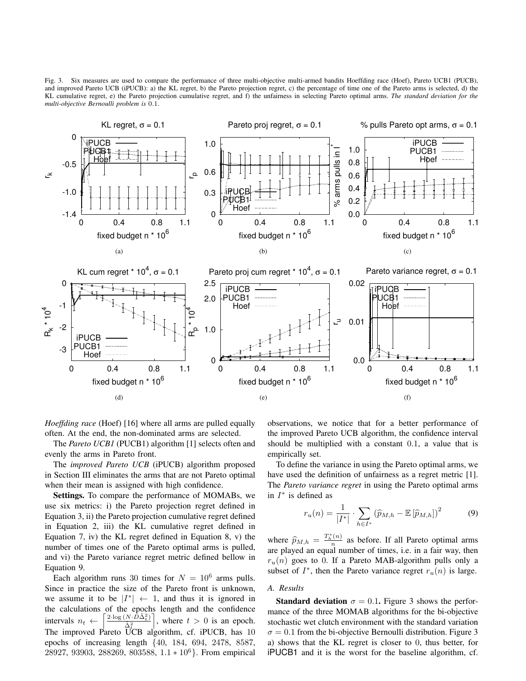Fig. 3. Six measures are used to compare the performance of three multi-objective multi-armed bandits Hoeffding race (Hoef), Pareto UCB1 (PUCB), and improved Pareto UCB (iPUCB): a) the KL regret, b) the Pareto projection regret, c) the percentage of time one of the Pareto arms is selected, d) the KL cumulative regret, e) the Pareto projection cumulative regret, and f) the unfairness in selecting Pareto optimal arms. *The standard deviation for the multi-objective Bernoulli problem is* 0.1.



*Hoeffding race* (Hoef) [16] where all arms are pulled equally often. At the end, the non-dominated arms are selected.

The *Pareto UCB1* (PUCB1) algorithm [1] selects often and evenly the arms in Pareto front.

The *improved Pareto UCB* (iPUCB) algorithm proposed in Section III eliminates the arms that are not Pareto optimal when their mean is assigned with high confidence.

Settings. To compare the performance of MOMABs, we use six metrics: i) the Pareto projection regret defined in Equation 3, ii) the Pareto projection cumulative regret defined in Equation 2, iii) the KL cumulative regret defined in Equation 7, iv) the KL regret defined in Equation 8, v) the number of times one of the Pareto optimal arms is pulled, and vi) the Pareto variance regret metric defined bellow in Equation 9.

Each algorithm runs 30 times for  $N = 10^6$  arms pulls. Since in practice the size of the Pareto front is unknown, we assume it to be  $|I^*| \leftarrow 1$ , and thus it is ignored in the calculations of the epochs length and the confidence intervals  $n_t \leftarrow$  $\left[\frac{2\cdot\log(N\cdot\hat{D}\tilde{\Delta}_t^2)}{\tilde{\Delta}_t^2}\right]$ , where  $t > 0$  is an epoch. The improved Pareto UCB algorithm, cf. iPUCB, has 10 epochs of increasing length {40, 184, 694, 2478, 8587, 28927, 93903, 288269, 803588, 1.1 ∗ 10<sup>6</sup>}. From empirical observations, we notice that for a better performance of the improved Pareto UCB algorithm, the confidence interval should be multiplied with a constant 0.1, a value that is empirically set.

To define the variance in using the Pareto optimal arms, we have used the definition of unfairness as a regret metric [1]. The *Pareto variance regret* in using the Pareto optimal arms in  $I^*$  is defined as

$$
r_u(n) = \frac{1}{|I^*|} \cdot \sum_{h \in I^*} (\widehat{p}_{M,h} - \mathbb{E}[\widehat{p}_{M,h}])^2 \tag{9}
$$

where  $\hat{p}_{M,h} = \frac{T_h^*(n)}{n}$  as before. If all Pareto optimal arms<br>are played an equal number of times i.e. in a fair way then are played an equal number of times, i.e. in a fair way, then  $r_u(n)$  goes to 0. If a Pareto MAB-algorithm pulls only a subset of  $I^*$ , then the Pareto variance regret  $r_u(n)$  is large.

## *A. Results*

**Standard deviation**  $\sigma = 0.1$ . Figure 3 shows the performance of the three MOMAB algorithms for the bi-objective stochastic wet clutch environment with the standard variation  $\sigma = 0.1$  from the bi-objective Bernoulli distribution. Figure 3 a) shows that the KL regret is closer to 0, thus better, for iPUCB1 and it is the worst for the baseline algorithm, cf.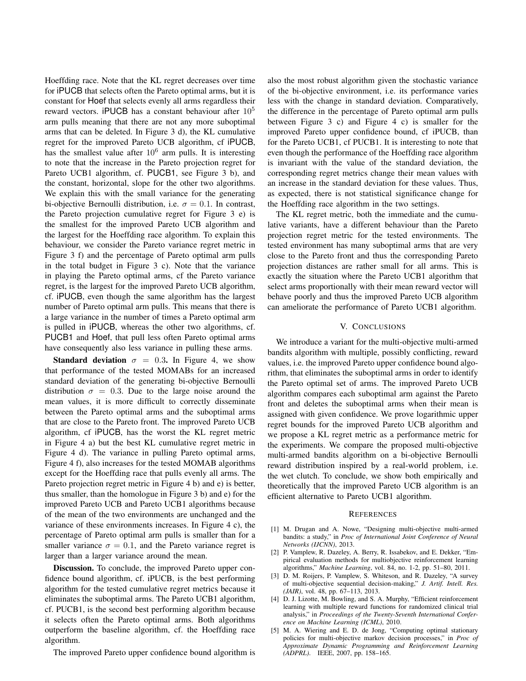Hoeffding race. Note that the KL regret decreases over time for iPUCB that selects often the Pareto optimal arms, but it is constant for Hoef that selects evenly all arms regardless their reward vectors. **iPUCB** has a constant behaviour after  $10<sup>5</sup>$ arm pulls meaning that there are not any more suboptimal arms that can be deleted. In Figure 3 d), the KL cumulative regret for the improved Pareto UCB algorithm, cf iPUCB, has the smallest value after  $10^6$  arm pulls. It is interesting to note that the increase in the Pareto projection regret for Pareto UCB1 algorithm, cf. PUCB1, see Figure 3 b), and the constant, horizontal, slope for the other two algorithms. We explain this with the small variance for the generating bi-objective Bernoulli distribution, i.e.  $\sigma = 0.1$ . In contrast, the Pareto projection cumulative regret for Figure 3 e) is the smallest for the improved Pareto UCB algorithm and the largest for the Hoeffding race algorithm. To explain this behaviour, we consider the Pareto variance regret metric in Figure 3 f) and the percentage of Pareto optimal arm pulls in the total budget in Figure 3 c). Note that the variance in playing the Pareto optimal arms, cf the Pareto variance regret, is the largest for the improved Pareto UCB algorithm, cf. iPUCB, even though the same algorithm has the largest number of Pareto optimal arm pulls. This means that there is a large variance in the number of times a Pareto optimal arm is pulled in iPUCB, whereas the other two algorithms, cf. PUCB1 and Hoef, that pull less often Pareto optimal arms have consequently also less variance in pulling these arms.

**Standard deviation**  $\sigma = 0.3$ . In Figure 4, we show that performance of the tested MOMABs for an increased standard deviation of the generating bi-objective Bernoulli distribution  $\sigma = 0.3$ . Due to the large noise around the mean values, it is more difficult to correctly disseminate between the Pareto optimal arms and the suboptimal arms that are close to the Pareto front. The improved Pareto UCB algorithm, cf iPUCB, has the worst the KL regret metric in Figure 4 a) but the best KL cumulative regret metric in Figure 4 d). The variance in pulling Pareto optimal arms, Figure 4 f), also increases for the tested MOMAB algorithms except for the Hoeffding race that pulls evenly all arms. The Pareto projection regret metric in Figure 4 b) and e) is better, thus smaller, than the homologue in Figure 3 b) and e) for the improved Pareto UCB and Pareto UCB1 algorithms because of the mean of the two environments are unchanged and the variance of these environments increases. In Figure 4 c), the percentage of Pareto optimal arm pulls is smaller than for a smaller variance  $\sigma = 0.1$ , and the Pareto variance regret is larger than a larger variance around the mean.

Discussion. To conclude, the improved Pareto upper confidence bound algorithm, cf. iPUCB, is the best performing algorithm for the tested cumulative regret metrics because it eliminates the suboptimal arms. The Pareto UCB1 algorithm, cf. PUCB1, is the second best performing algorithm because it selects often the Pareto optimal arms. Both algorithms outperform the baseline algorithm, cf. the Hoeffding race algorithm.

The improved Pareto upper confidence bound algorithm is

also the most robust algorithm given the stochastic variance of the bi-objective environment, i.e. its performance varies less with the change in standard deviation. Comparatively, the difference in the percentage of Pareto optimal arm pulls between Figure 3 c) and Figure 4 c) is smaller for the improved Pareto upper confidence bound, cf iPUCB, than for the Pareto UCB1, cf PUCB1. It is interesting to note that even though the performance of the Hoeffding race algorithm is invariant with the value of the standard deviation, the corresponding regret metrics change their mean values with an increase in the standard deviation for these values. Thus, as expected, there is not statistical significance change for the Hoeffding race algorithm in the two settings.

The KL regret metric, both the immediate and the cumulative variants, have a different behaviour than the Pareto projection regret metric for the tested environments. The tested environment has many suboptimal arms that are very close to the Pareto front and thus the corresponding Pareto projection distances are rather small for all arms. This is exactly the situation where the Pareto UCB1 algorithm that select arms proportionally with their mean reward vector will behave poorly and thus the improved Pareto UCB algorithm can ameliorate the performance of Pareto UCB1 algorithm.

## V. CONCLUSIONS

We introduce a variant for the multi-objective multi-armed bandits algorithm with multiple, possibly conflicting, reward values, i.e. the improved Pareto upper confidence bound algorithm, that eliminates the suboptimal arms in order to identify the Pareto optimal set of arms. The improved Pareto UCB algorithm compares each suboptimal arm against the Pareto front and deletes the suboptimal arms when their mean is assigned with given confidence. We prove logarithmic upper regret bounds for the improved Pareto UCB algorithm and we propose a KL regret metric as a performance metric for the experiments. We compare the proposed multi-objective multi-armed bandits algorithm on a bi-objective Bernoulli reward distribution inspired by a real-world problem, i.e. the wet clutch. To conclude, we show both empirically and theoretically that the improved Pareto UCB algorithm is an efficient alternative to Pareto UCB1 algorithm.

#### **REFERENCES**

- [1] M. Drugan and A. Nowe, "Designing multi-objective multi-armed bandits: a study," in *Proc of International Joint Conference of Neural Networks (IJCNN)*, 2013.
- [2] P. Vamplew, R. Dazeley, A. Berry, R. Issabekov, and E. Dekker, "Empirical evaluation methods for multiobjective reinforcement learning algorithms," *Machine Learning*, vol. 84, no. 1-2, pp. 51–80, 2011.
- [3] D. M. Roijers, P. Vamplew, S. Whiteson, and R. Dazeley, "A survey of multi-objective sequential decision-making," *J. Artif. Intell. Res. (JAIR)*, vol. 48, pp. 67–113, 2013.
- [4] D. J. Lizotte, M. Bowling, and S. A. Murphy, "Efficient reinforcement learning with multiple reward functions for randomized clinical trial analysis," in *Proceedings of the Twenty-Seventh International Conference on Machine Learning (ICML)*, 2010.
- [5] M. A. Wiering and E. D. de Jong, "Computing optimal stationary policies for multi-objective markov decision processes," in *Proc of Approximate Dynamic Programming and Reinforcement Learning (ADPRL)*. IEEE, 2007, pp. 158–165.